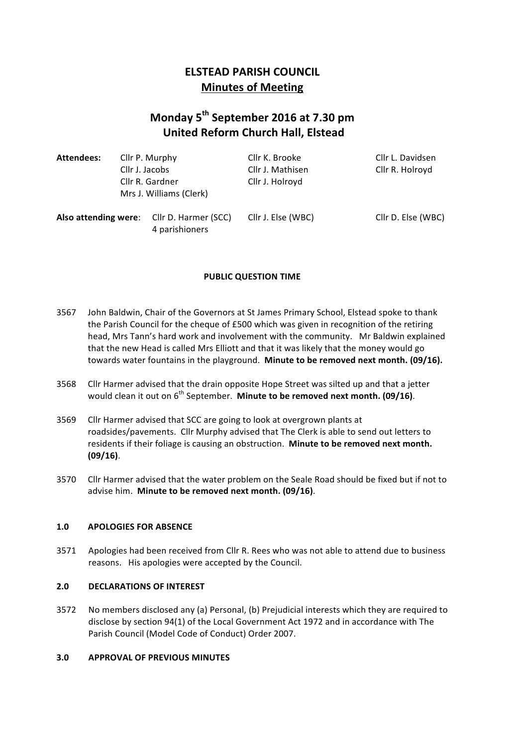# **ELSTEAD PARISH COUNCIL Minutes of Meeting**

# **Monday 5th September 2016 at 7.30 pm United Reform Church Hall, Elstead**

| Attendees: | Cllr P. Murphy<br>Cllr J. Jacobs<br>Cllr R. Gardner |                                           | Cllr K. Brooke     | Cllr L. Davidsen   |
|------------|-----------------------------------------------------|-------------------------------------------|--------------------|--------------------|
|            |                                                     |                                           | Cllr J. Mathisen   | Cllr R. Holroyd    |
|            |                                                     |                                           | Cllr J. Holroyd    |                    |
|            |                                                     | Mrs J. Williams (Clerk)                   |                    |                    |
|            |                                                     | Also attending were: Cllr D. Harmer (SCC) | Cllr J. Else (WBC) | Cllr D. Else (WBC) |

4 parishioners

# **PUBLIC QUESTION TIME**

- 3567 John Baldwin, Chair of the Governors at St James Primary School, Elstead spoke to thank the Parish Council for the cheque of £500 which was given in recognition of the retiring head, Mrs Tann's hard work and involvement with the community. Mr Baldwin explained that the new Head is called Mrs Elliott and that it was likely that the money would go towards water fountains in the playground. Minute to be removed next month. (09/16).
- 3568 Cllr Harmer advised that the drain opposite Hope Street was silted up and that a jetter would clean it out on 6<sup>th</sup> September. Minute to be removed next month. (09/16).
- 3569 Cllr Harmer advised that SCC are going to look at overgrown plants at roadsides/pavements. Cllr Murphy advised that The Clerk is able to send out letters to residents if their foliage is causing an obstruction. Minute to be removed next month. **(09/16)**.
- 3570 Cllr Harmer advised that the water problem on the Seale Road should be fixed but if not to advise him. Minute to be removed next month. (09/16).

#### 1.0 APOLOGIES FOR ABSENCE

3571 Apologies had been received from Cllr R. Rees who was not able to attend due to business reasons. His apologies were accepted by the Council.

#### **2.0 DECLARATIONS OF INTEREST**

3572 No members disclosed any (a) Personal, (b) Prejudicial interests which they are required to disclose by section 94(1) of the Local Government Act 1972 and in accordance with The Parish Council (Model Code of Conduct) Order 2007.

#### **3.0 APPROVAL OF PREVIOUS MINUTES**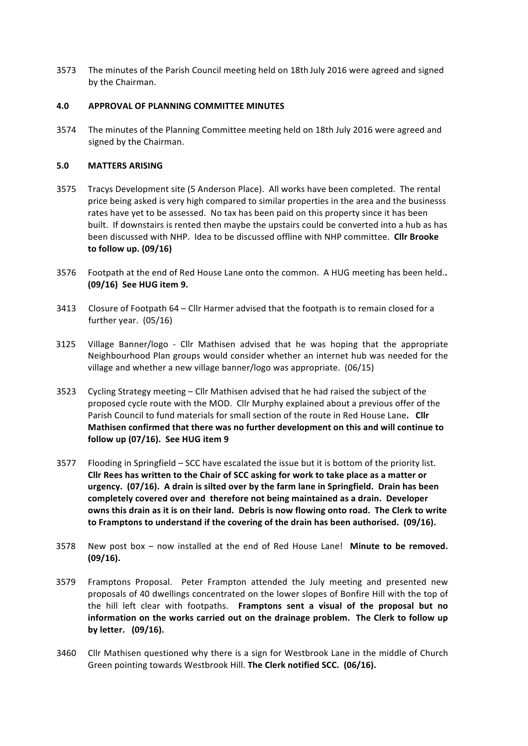3573 The minutes of the Parish Council meeting held on 18th July 2016 were agreed and signed by the Chairman.

#### **4.0 APPROVAL OF PLANNING COMMITTEE MINUTES**

3574 The minutes of the Planning Committee meeting held on 18th July 2016 were agreed and signed by the Chairman.

# **5.0 MATTERS ARISING**

- 3575 Tracys Development site (5 Anderson Place). All works have been completed. The rental price being asked is very high compared to similar properties in the area and the businesss rates have yet to be assessed. No tax has been paid on this property since it has been built. If downstairs is rented then maybe the upstairs could be converted into a hub as has been discussed with NHP. Idea to be discussed offline with NHP committee. **Cllr Brooke to follow up. (09/16)**
- 3576 Footpath at the end of Red House Lane onto the common. A HUG meeting has been held.. **(09/16) See HUG item 9.**
- 3413 Closure of Footpath  $64 -$  Cllr Harmer advised that the footpath is to remain closed for a further year.  $(05/16)$
- 3125 Village Banner/logo Cllr Mathisen advised that he was hoping that the appropriate Neighbourhood Plan groups would consider whether an internet hub was needed for the village and whether a new village banner/logo was appropriate.  $(06/15)$
- 3523 Cycling Strategy meeting  $-$  Cllr Mathisen advised that he had raised the subject of the proposed cycle route with the MOD. Cllr Murphy explained about a previous offer of the Parish Council to fund materials for small section of the route in Red House Lane. Cllr Mathisen confirmed that there was no further development on this and will continue to **follow up (07/16). See HUG item 9**
- 3577 Flooding in Springfield SCC have escalated the issue but it is bottom of the priority list. Cllr Rees has written to the Chair of SCC asking for work to take place as a matter or urgency. (07/16). A drain is silted over by the farm lane in Springfield. Drain has been completely covered over and therefore not being maintained as a drain. Developer owns this drain as it is on their land. Debris is now flowing onto road. The Clerk to write to Framptons to understand if the covering of the drain has been authorised. (09/16).
- 3578 New post box now installed at the end of Red House Lane! Minute to be removed. **(09/16).**
- 3579 Framptons Proposal. Peter Frampton attended the July meeting and presented new proposals of 40 dwellings concentrated on the lower slopes of Bonfire Hill with the top of the hill left clear with footpaths. Framptons sent a visual of the proposal but no information on the works carried out on the drainage problem. The Clerk to follow up **by letter.** (09/16).
- 3460 Cllr Mathisen questioned why there is a sign for Westbrook Lane in the middle of Church Green pointing towards Westbrook Hill. The Clerk notified SCC. (06/16).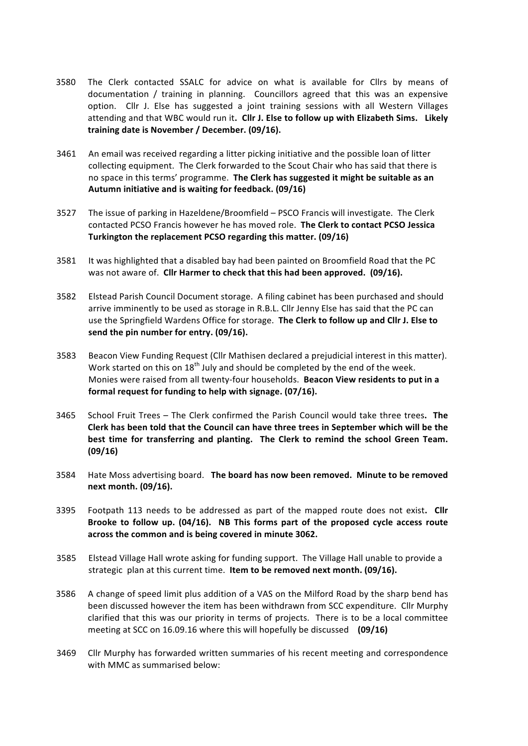- 3580 The Clerk contacted SSALC for advice on what is available for Cllrs by means of documentation / training in planning. Councillors agreed that this was an expensive option. Cllr J. Else has suggested a joint training sessions with all Western Villages attending and that WBC would run it. Cllr J. Else to follow up with Elizabeth Sims. Likely training date is November / December. (09/16).
- 3461 An email was received regarding a litter picking initiative and the possible loan of litter collecting equipment. The Clerk forwarded to the Scout Chair who has said that there is no space in this terms' programme. The Clerk has suggested it might be suitable as an Autumn initiative and is waiting for feedback. (09/16)
- 3527 The issue of parking in Hazeldene/Broomfield PSCO Francis will investigate. The Clerk contacted PCSO Francis however he has moved role. The Clerk to contact PCSO Jessica Turkington the replacement PCSO regarding this matter. (09/16)
- 3581 It was highlighted that a disabled bay had been painted on Broomfield Road that the PC was not aware of. Cllr Harmer to check that this had been approved. (09/16).
- 3582 Elstead Parish Council Document storage. A filing cabinet has been purchased and should arrive imminently to be used as storage in R.B.L. Cllr Jenny Else has said that the PC can use the Springfield Wardens Office for storage. The Clerk to follow up and Cllr J. Else to send the pin number for entry. (09/16).
- 3583 Beacon View Funding Request (Cllr Mathisen declared a prejudicial interest in this matter). Work started on this on 18<sup>th</sup> July and should be completed by the end of the week. Monies were raised from all twenty-four households. Beacon View residents to put in a formal request for funding to help with signage. (07/16).
- 3465 School Fruit Trees The Clerk confirmed the Parish Council would take three trees. The Clerk has been told that the Council can have three trees in September which will be the best time for transferring and planting. The Clerk to remind the school Green Team. **(09/16)**
- 3584 Hate Moss advertising board. The board has now been removed. Minute to be removed **next month. (09/16).**
- 3395 Footpath 113 needs to be addressed as part of the mapped route does not exist. Cllr Brooke to follow up. (04/16). NB This forms part of the proposed cycle access route across the common and is being covered in minute 3062.
- 3585 Elstead Village Hall wrote asking for funding support. The Village Hall unable to provide a strategic plan at this current time. Item to be removed next month. (09/16).
- 3586 A change of speed limit plus addition of a VAS on the Milford Road by the sharp bend has been discussed however the item has been withdrawn from SCC expenditure. Cllr Murphy clarified that this was our priority in terms of projects. There is to be a local committee meeting at SCC on 16.09.16 where this will hopefully be discussed (09/16)
- 3469 Cllr Murphy has forwarded written summaries of his recent meeting and correspondence with MMC as summarised below: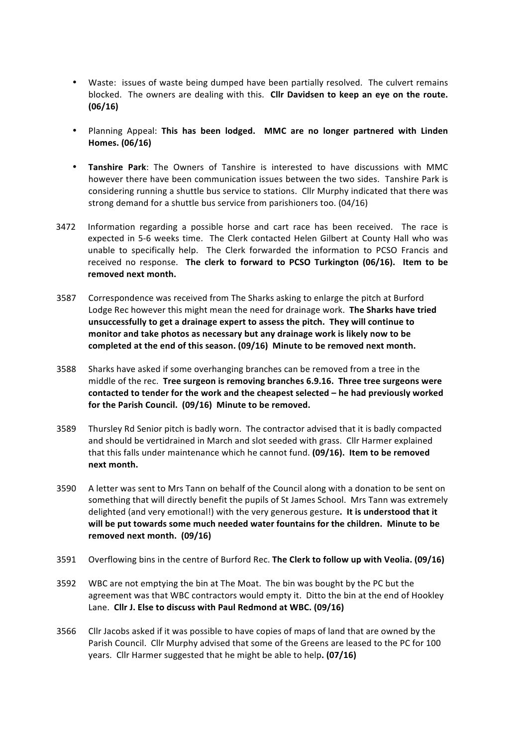- Waste: issues of waste being dumped have been partially resolved. The culvert remains blocked. The owners are dealing with this. Cllr Davidsen to keep an eye on the route. **(06/16)**
- Planning Appeal: This has been lodged. MMC are no longer partnered with Linden **Homes. (06/16)**
- **Tanshire Park:** The Owners of Tanshire is interested to have discussions with MMC however there have been communication issues between the two sides. Tanshire Park is considering running a shuttle bus service to stations. Cllr Murphy indicated that there was strong demand for a shuttle bus service from parishioners too. (04/16)
- 3472 Information regarding a possible horse and cart race has been received. The race is expected in 5-6 weeks time. The Clerk contacted Helen Gilbert at County Hall who was unable to specifically help. The Clerk forwarded the information to PCSO Francis and received no response. The clerk to forward to PCSO Turkington (06/16). Item to be removed next month.
- 3587 Correspondence was received from The Sharks asking to enlarge the pitch at Burford Lodge Rec however this might mean the need for drainage work. The Sharks have tried unsuccessfully to get a drainage expert to assess the pitch. They will continue to monitor and take photos as necessary but any drainage work is likely now to be completed at the end of this season. (09/16) Minute to be removed next month.
- 3588 Sharks have asked if some overhanging branches can be removed from a tree in the middle of the rec. Tree surgeon is removing branches 6.9.16. Three tree surgeons were **contacted to tender for the work and the cheapest selected – he had previously worked** for the Parish Council. (09/16) Minute to be removed.
- 3589 Thursley Rd Senior pitch is badly worn. The contractor advised that it is badly compacted and should be vertidrained in March and slot seeded with grass. Cllr Harmer explained that this falls under maintenance which he cannot fund. **(09/16). Item to be removed next month.**
- 3590 A letter was sent to Mrs Tann on behalf of the Council along with a donation to be sent on something that will directly benefit the pupils of St James School. Mrs Tann was extremely delighted (and very emotional!) with the very generous gesture. It is understood that it will be put towards some much needed water fountains for the children. Minute to be removed next month. (09/16)
- 3591 Overflowing bins in the centre of Burford Rec. **The Clerk to follow up with Veolia. (09/16)**
- 3592 WBC are not emptying the bin at The Moat. The bin was bought by the PC but the agreement was that WBC contractors would empty it. Ditto the bin at the end of Hookley Lane. Cllr J. Else to discuss with Paul Redmond at WBC. (09/16)
- 3566 Cllr Jacobs asked if it was possible to have copies of maps of land that are owned by the Parish Council. Cllr Murphy advised that some of the Greens are leased to the PC for 100 years. Cllr Harmer suggested that he might be able to help. (07/16)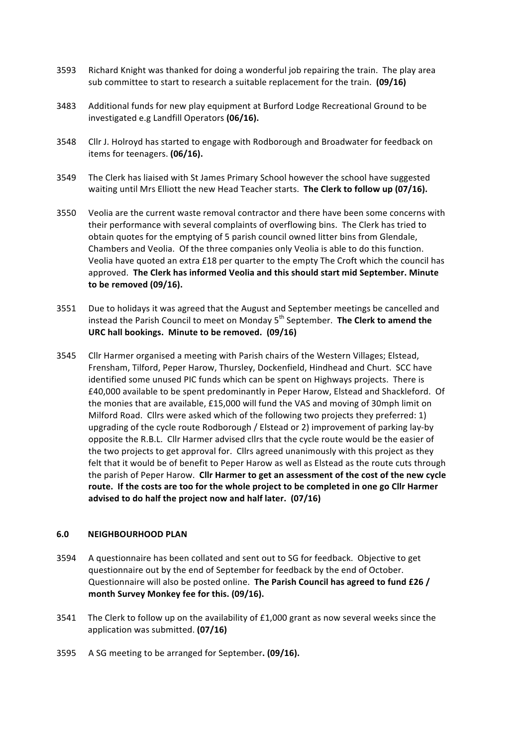- 3593 Richard Knight was thanked for doing a wonderful job repairing the train. The play area sub committee to start to research a suitable replacement for the train. (09/16)
- 3483 Additional funds for new play equipment at Burford Lodge Recreational Ground to be investigated e.g Landfill Operators (06/16).
- 3548 Cllr J. Holroyd has started to engage with Rodborough and Broadwater for feedback on items for teenagers. **(06/16).**
- 3549 The Clerk has liaised with St James Primary School however the school have suggested waiting until Mrs Elliott the new Head Teacher starts. The Clerk to follow up (07/16).
- 3550 Veolia are the current waste removal contractor and there have been some concerns with their performance with several complaints of overflowing bins. The Clerk has tried to obtain quotes for the emptying of 5 parish council owned litter bins from Glendale, Chambers and Veolia. Of the three companies only Veolia is able to do this function. Veolia have quoted an extra £18 per quarter to the empty The Croft which the council has approved. The Clerk has informed Veolia and this should start mid September. Minute to be removed (09/16).
- 3551 Due to holidays it was agreed that the August and September meetings be cancelled and instead the Parish Council to meet on Monday 5<sup>th</sup> September. **The Clerk to amend the** URC hall bookings. Minute to be removed. (09/16)
- 3545 Cllr Harmer organised a meeting with Parish chairs of the Western Villages; Elstead, Frensham, Tilford, Peper Harow, Thursley, Dockenfield, Hindhead and Churt. SCC have identified some unused PIC funds which can be spent on Highways projects. There is £40,000 available to be spent predominantly in Peper Harow, Elstead and Shackleford. Of the monies that are available, £15,000 will fund the VAS and moving of 30mph limit on Milford Road. Cllrs were asked which of the following two projects they preferred:  $1$ ) upgrading of the cycle route Rodborough / Elstead or 2) improvement of parking lay-by opposite the R.B.L. Cllr Harmer advised cllrs that the cycle route would be the easier of the two projects to get approval for. Cllrs agreed unanimously with this project as they felt that it would be of benefit to Peper Harow as well as Elstead as the route cuts through the parish of Peper Harow. Cllr Harmer to get an assessment of the cost of the new cycle route. If the costs are too for the whole project to be completed in one go Cllr Harmer advised to do half the project now and half later. (07/16)

#### **6.0 NEIGHBOURHOOD PLAN**

- 3594 A questionnaire has been collated and sent out to SG for feedback. Objective to get questionnaire out by the end of September for feedback by the end of October. Questionnaire will also be posted online. **The Parish Council has agreed to fund £26** / month Survey Monkey fee for this. (09/16).
- 3541 The Clerk to follow up on the availability of  $£1,000$  grant as now several weeks since the application was submitted. **(07/16)**
- 3595 A SG meeting to be arranged for September. (09/16).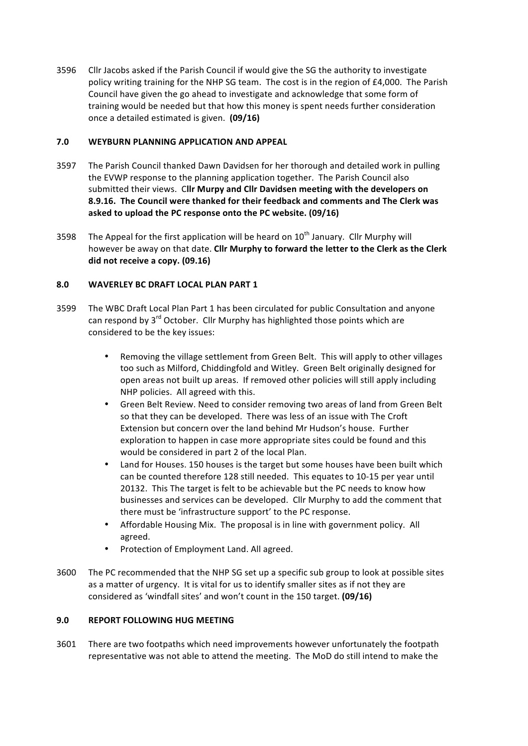3596 Cllr Jacobs asked if the Parish Council if would give the SG the authority to investigate policy writing training for the NHP SG team. The cost is in the region of £4,000. The Parish Council have given the go ahead to investigate and acknowledge that some form of training would be needed but that how this money is spent needs further consideration once a detailed estimated is given. **(09/16)** 

#### **7.0 WEYBURN PLANNING APPLICATION AND APPEAL**

- 3597 The Parish Council thanked Dawn Davidsen for her thorough and detailed work in pulling the EVWP response to the planning application together. The Parish Council also submitted their views. Cllr Murpy and Cllr Davidsen meeting with the developers on **8.9.16.** The Council were thanked for their feedback and comments and The Clerk was asked to upload the PC response onto the PC website. (09/16)
- 3598 The Appeal for the first application will be heard on  $10^{th}$  January. Cllr Murphy will however be away on that date. Cllr Murphy to forward the letter to the Clerk as the Clerk did not receive a copy. (09.16)

# **8.0 WAVERLEY BC DRAFT LOCAL PLAN PART 1**

- 3599 The WBC Draft Local Plan Part 1 has been circulated for public Consultation and anyone can respond by  $3^{rd}$  October. Cllr Murphy has highlighted those points which are considered to be the key issues:
	- Removing the village settlement from Green Belt. This will apply to other villages too such as Milford, Chiddingfold and Witley. Green Belt originally designed for open areas not built up areas. If removed other policies will still apply including NHP policies. All agreed with this.
	- Green Belt Review. Need to consider removing two areas of land from Green Belt so that they can be developed. There was less of an issue with The Croft Extension but concern over the land behind Mr Hudson's house. Further exploration to happen in case more appropriate sites could be found and this would be considered in part 2 of the local Plan.
	- Land for Houses. 150 houses is the target but some houses have been built which can be counted therefore 128 still needed. This equates to 10-15 per year until 20132. This The target is felt to be achievable but the PC needs to know how businesses and services can be developed. Cllr Murphy to add the comment that there must be 'infrastructure support' to the PC response.
	- Affordable Housing Mix. The proposal is in line with government policy. All agreed.
	- Protection of Employment Land. All agreed.
- 3600 The PC recommended that the NHP SG set up a specific sub group to look at possible sites as a matter of urgency. It is vital for us to identify smaller sites as if not they are considered as 'windfall sites' and won't count in the 150 target. **(09/16)**

# **9.0 REPORT FOLLOWING HUG MEETING**

3601 There are two footpaths which need improvements however unfortunately the footpath representative was not able to attend the meeting. The MoD do still intend to make the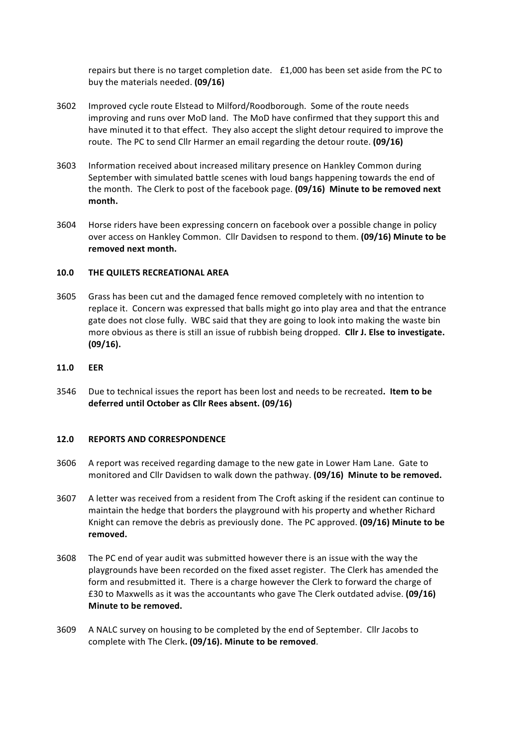repairs but there is no target completion date. £1,000 has been set aside from the PC to buy the materials needed. **(09/16)** 

- 3602 Improved cycle route Elstead to Milford/Roodborough. Some of the route needs improving and runs over MoD land. The MoD have confirmed that they support this and have minuted it to that effect. They also accept the slight detour required to improve the route. The PC to send Cllr Harmer an email regarding the detour route. **(09/16)**
- 3603 Information received about increased military presence on Hankley Common during September with simulated battle scenes with loud bangs happening towards the end of the month. The Clerk to post of the facebook page. (09/16) Minute to be removed next **month.**
- 3604 Horse riders have been expressing concern on facebook over a possible change in policy over access on Hankley Common. Cllr Davidsen to respond to them. (09/16) Minute to be removed next month.

#### **10.0 THE QUILETS RECREATIONAL AREA**

- 3605 Grass has been cut and the damaged fence removed completely with no intention to replace it. Concern was expressed that balls might go into play area and that the entrance gate does not close fully. WBC said that they are going to look into making the waste bin more obvious as there is still an issue of rubbish being dropped. Cllr J. Else to investigate. **(09/16).**
- **11.0 EER**
- 3546 Due to technical issues the report has been lost and needs to be recreated. Item to be deferred until October as Cllr Rees absent. (09/16)

#### **12.0 REPORTS AND CORRESPONDENCE**

- 3606 A report was received regarding damage to the new gate in Lower Ham Lane. Gate to monitored and Cllr Davidsen to walk down the pathway. (09/16) Minute to be removed.
- 3607 A letter was received from a resident from The Croft asking if the resident can continue to maintain the hedge that borders the playground with his property and whether Richard Knight can remove the debris as previously done. The PC approved. **(09/16) Minute to be removed.**
- 3608 The PC end of year audit was submitted however there is an issue with the way the playgrounds have been recorded on the fixed asset register. The Clerk has amended the form and resubmitted it. There is a charge however the Clerk to forward the charge of £30 to Maxwells as it was the accountants who gave The Clerk outdated advise. **(09/16) Minute to be removed.**
- 3609 A NALC survey on housing to be completed by the end of September. Cllr Jacobs to complete with The Clerk. (09/16). Minute to be removed.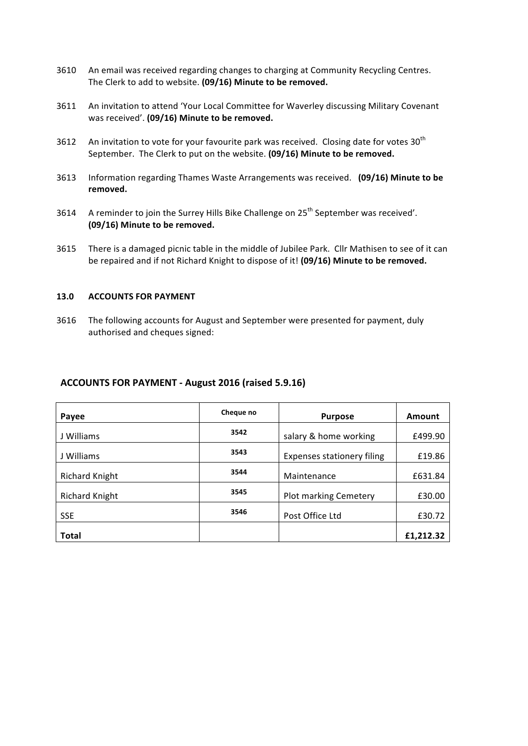- 3610 An email was received regarding changes to charging at Community Recycling Centres. The Clerk to add to website. (09/16) Minute to be removed.
- 3611 An invitation to attend 'Your Local Committee for Waverley discussing Military Covenant was received'. (09/16) Minute to be removed.
- 3612 An invitation to vote for your favourite park was received. Closing date for votes  $30<sup>th</sup>$ September. The Clerk to put on the website. (09/16) Minute to be removed.
- 3613 Information regarding Thames Waste Arrangements was received. (09/16) Minute to be **removed.**
- 3614 A reminder to join the Surrey Hills Bike Challenge on 25<sup>th</sup> September was received'. **(09/16)** Minute to be removed.
- 3615 There is a damaged picnic table in the middle of Jubilee Park. Cllr Mathisen to see of it can be repaired and if not Richard Knight to dispose of it! (09/16) Minute to be removed.

#### **13.0 ACCOUNTS FOR PAYMENT**

3616 The following accounts for August and September were presented for payment, duly authorised and cheques signed:

#### **ACCOUNTS FOR PAYMENT - August 2016 (raised 5.9.16)**

| Payee                 | Cheque no | <b>Purpose</b>             | Amount    |
|-----------------------|-----------|----------------------------|-----------|
| J Williams            | 3542      | salary & home working      | £499.90   |
| J Williams            | 3543      | Expenses stationery filing | £19.86    |
| <b>Richard Knight</b> | 3544      | Maintenance                | £631.84   |
| <b>Richard Knight</b> | 3545      | Plot marking Cemetery      | £30.00    |
| <b>SSE</b>            | 3546      | Post Office Ltd            | £30.72    |
| <b>Total</b>          |           |                            | £1,212.32 |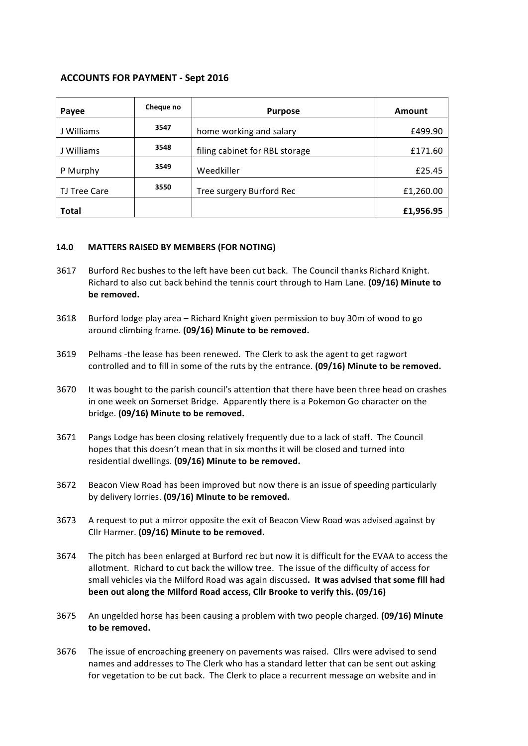# **ACCOUNTS FOR PAYMENT - Sept 2016**

| Payee        | Cheque no | <b>Purpose</b>                 | Amount    |
|--------------|-----------|--------------------------------|-----------|
| J Williams   | 3547      | home working and salary        | £499.90   |
| J Williams   | 3548      | filing cabinet for RBL storage | £171.60   |
| P Murphy     | 3549      | Weedkiller                     | £25.45    |
| TJ Tree Care | 3550      | Tree surgery Burford Rec       | £1,260.00 |
| Total        |           |                                | £1,956.95 |

#### **14.0 MATTERS RAISED BY MEMBERS (FOR NOTING)**

- 3617 Burford Rec bushes to the left have been cut back. The Council thanks Richard Knight. Richard to also cut back behind the tennis court through to Ham Lane. (09/16) Minute to be removed.
- 3618 Burford lodge play area Richard Knight given permission to buy 30m of wood to go around climbing frame. (09/16) Minute to be removed.
- 3619 Pelhams -the lease has been renewed. The Clerk to ask the agent to get ragwort controlled and to fill in some of the ruts by the entrance. (09/16) Minute to be removed.
- 3670 It was bought to the parish council's attention that there have been three head on crashes in one week on Somerset Bridge. Apparently there is a Pokemon Go character on the bridge. (09/16) Minute to be removed.
- 3671 Pangs Lodge has been closing relatively frequently due to a lack of staff. The Council hopes that this doesn't mean that in six months it will be closed and turned into residential dwellings. (09/16) Minute to be removed.
- 3672 Beacon View Road has been improved but now there is an issue of speeding particularly by delivery lorries. (09/16) Minute to be removed.
- 3673 A request to put a mirror opposite the exit of Beacon View Road was advised against by Cllr Harmer. (09/16) Minute to be removed.
- 3674 The pitch has been enlarged at Burford rec but now it is difficult for the EVAA to access the allotment. Richard to cut back the willow tree. The issue of the difficulty of access for small vehicles via the Milford Road was again discussed. It was advised that some fill had **been out along the Milford Road access, Cllr Brooke to verify this. (09/16)**
- 3675 An ungelded horse has been causing a problem with two people charged. **(09/16) Minute** to be removed.
- 3676 The issue of encroaching greenery on pavements was raised. Cllrs were advised to send names and addresses to The Clerk who has a standard letter that can be sent out asking for vegetation to be cut back. The Clerk to place a recurrent message on website and in